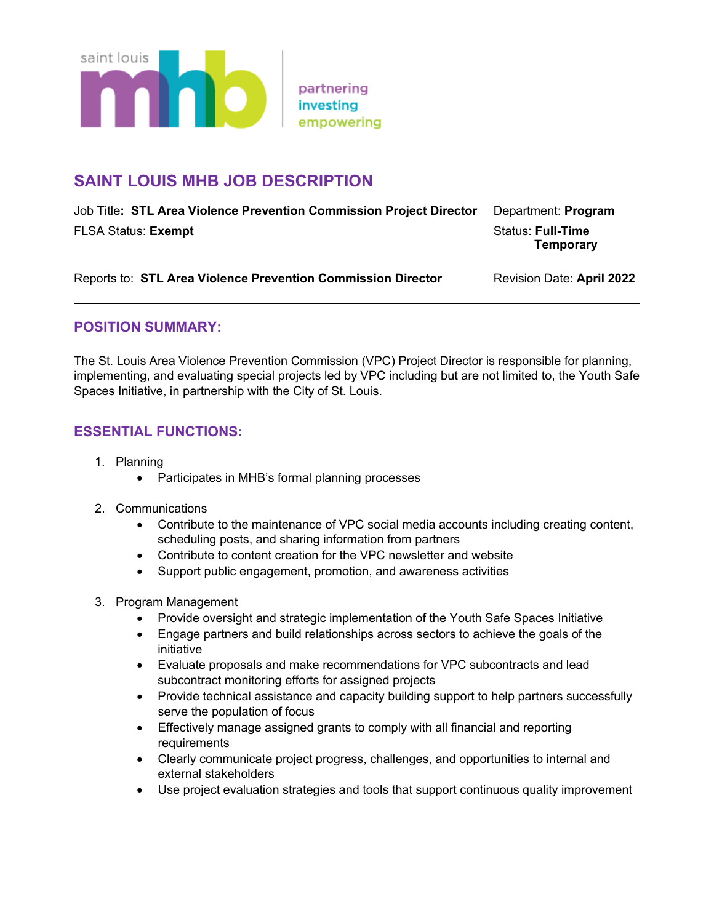

# **SAINT LOUIS MHB JOB DESCRIPTION**

| Job Title: STL Area Violence Prevention Commission Project Director | Department: <b>Program</b> |
|---------------------------------------------------------------------|----------------------------|
| <b>FLSA Status: Exempt</b>                                          | <b>Status: Full-Time</b>   |
|                                                                     | Temporary                  |

| Reports to: STL Area Violence Prevention Commission Director | Revision Date: April 2022 |
|--------------------------------------------------------------|---------------------------|
|--------------------------------------------------------------|---------------------------|

# **POSITION SUMMARY:**

The St. Louis Area Violence Prevention Commission (VPC) Project Director is responsible for planning, implementing, and evaluating special projects led by VPC including but are not limited to, the Youth Safe Spaces Initiative, in partnership with the City of St. Louis.

# **ESSENTIAL FUNCTIONS:**

- 1. Planning
	- Participates in MHB's formal planning processes
- 2. Communications
	- Contribute to the maintenance of VPC social media accounts including creating content, scheduling posts, and sharing information from partners
	- Contribute to content creation for the VPC newsletter and website
	- Support public engagement, promotion, and awareness activities
- 3. Program Management
	- Provide oversight and strategic implementation of the Youth Safe Spaces Initiative
	- Engage partners and build relationships across sectors to achieve the goals of the initiative
	- Evaluate proposals and make recommendations for VPC subcontracts and lead subcontract monitoring efforts for assigned projects
	- Provide technical assistance and capacity building support to help partners successfully serve the population of focus
	- Effectively manage assigned grants to comply with all financial and reporting requirements
	- Clearly communicate project progress, challenges, and opportunities to internal and external stakeholders
	- Use project evaluation strategies and tools that support continuous quality improvement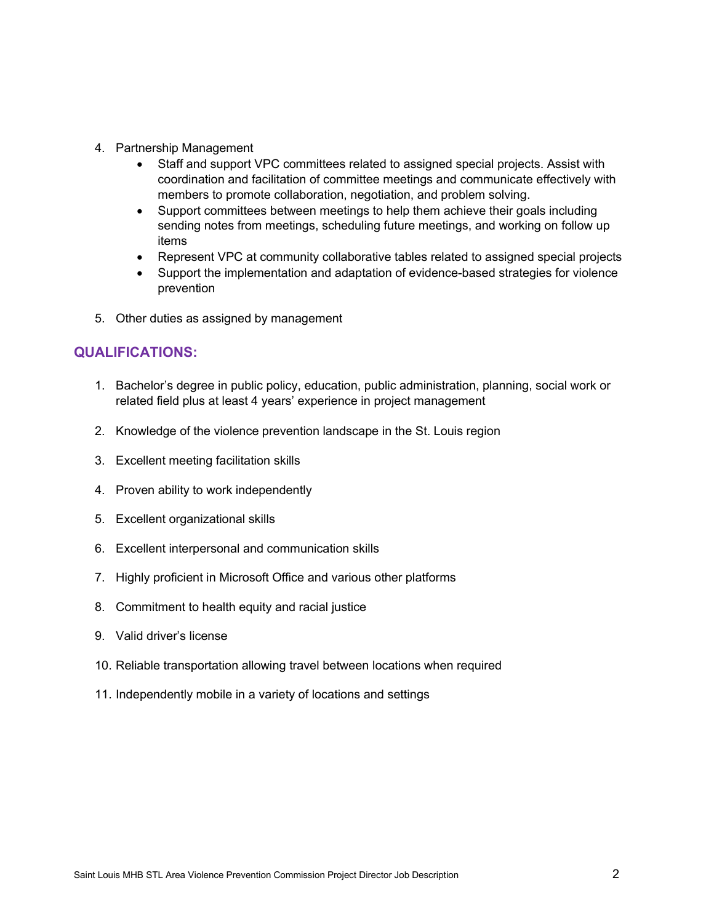- 4. Partnership Management
	- Staff and support VPC committees related to assigned special projects. Assist with coordination and facilitation of committee meetings and communicate effectively with members to promote collaboration, negotiation, and problem solving.
	- Support committees between meetings to help them achieve their goals including sending notes from meetings, scheduling future meetings, and working on follow up items
	- Represent VPC at community collaborative tables related to assigned special projects
	- Support the implementation and adaptation of evidence-based strategies for violence prevention
- 5. Other duties as assigned by management

### **QUALIFICATIONS:**

- 1. Bachelor's degree in public policy, education, public administration, planning, social work or related field plus at least 4 years' experience in project management
- 2. Knowledge of the violence prevention landscape in the St. Louis region
- 3. Excellent meeting facilitation skills
- 4. Proven ability to work independently
- 5. Excellent organizational skills
- 6. Excellent interpersonal and communication skills
- 7. Highly proficient in Microsoft Office and various other platforms
- 8. Commitment to health equity and racial justice
- 9. Valid driver's license
- 10. Reliable transportation allowing travel between locations when required
- 11. Independently mobile in a variety of locations and settings